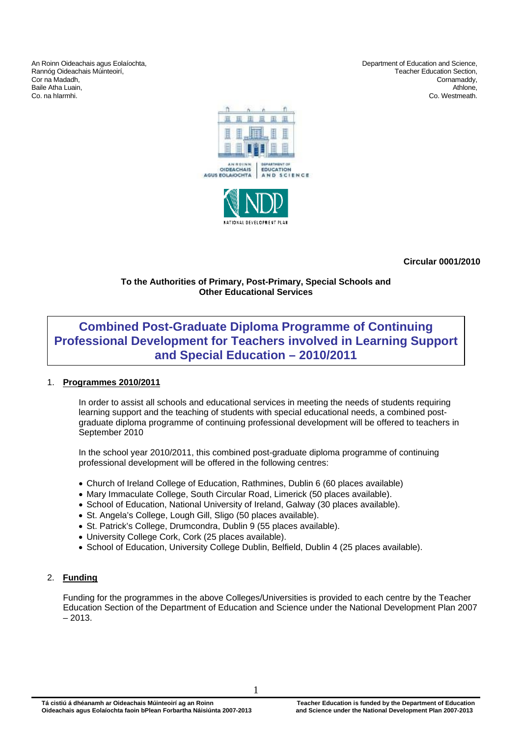An Roinn Oideachais agus Eolaíochta,<br>
Rannóg Oideachais Múinteoirí, Chrítian and Science, Department of Education and Science,<br>
Department of Education Section, Rannóg Oideachais Múinteoirí, المستخدم المستخدم المستخدم المستخدم المستخدم المستخدم المستخدم المستخدم المستخدم<br>Cor na Madadh, Cornamaddy, Cornamaddy, Cornamaddy, Cornamaddy, Cornamaddy, Cornamaddy, Cornamaddy, Cornamaddy, Cor na Madadh, Cornamaddy, Baile Atha Luain, and the control of the control of the control of the control of the control of the control of the control of the control of the control of the control of the control of the control of the control of the c Co. na hIarmhi. Co. Westmeath.





**Circular 0001/2010**

### **To the Authorities of Primary, Post-Primary, Special Schools and Other Educational Services**

## **Combined Post-Graduate Diploma Programme of Continuing Professional Development for Teachers involved in Learning Support and Special Education – 2010/2011**

### 1. **Programmes 2010/2011**

In order to assist all schools and educational services in meeting the needs of students requiring learning support and the teaching of students with special educational needs, a combined postgraduate diploma programme of continuing professional development will be offered to teachers in September 2010

In the school year 2010/2011, this combined post-graduate diploma programme of continuing professional development will be offered in the following centres:

- Church of Ireland College of Education, Rathmines, Dublin 6 (60 places available)
- Mary Immaculate College, South Circular Road, Limerick (50 places available).
- School of Education, National University of Ireland, Galway (30 places available).
- St. Angela's College, Lough Gill, Sligo (50 places available).
- St. Patrick's College, Drumcondra, Dublin 9 (55 places available).
- University College Cork, Cork (25 places available).
- School of Education, University College Dublin, Belfield, Dublin 4 (25 places available).

### 2. **Funding**

Funding for the programmes in the above Colleges/Universities is provided to each centre by the Teacher Education Section of the Department of Education and Science under the National Development Plan 2007  $-2013.$ 

1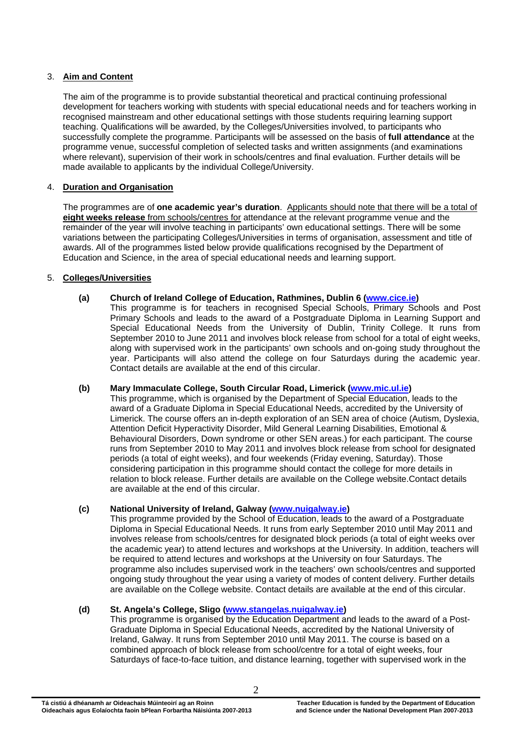### 3. **Aim and Content**

The aim of the programme is to provide substantial theoretical and practical continuing professional development for teachers working with students with special educational needs and for teachers working in recognised mainstream and other educational settings with those students requiring learning support teaching. Qualifications will be awarded, by the Colleges/Universities involved, to participants who successfully complete the programme. Participants will be assessed on the basis of **full attendance** at the programme venue, successful completion of selected tasks and written assignments (and examinations where relevant), supervision of their work in schools/centres and final evaluation. Further details will be made available to applicants by the individual College/University.

### 4. **Duration and Organisation**

The programmes are of **one academic year's duration**. Applicants should note that there will be a total of **eight weeks release** from schools/centres for attendance at the relevant programme venue and the remainder of the year will involve teaching in participants' own educational settings. There will be some variations between the participating Colleges/Universities in terms of organisation, assessment and title of awards. All of the programmes listed below provide qualifications recognised by the Department of Education and Science, in the area of special educational needs and learning support.

### 5. **Colleges/Universities**

### **(a) Church of Ireland College of Education, Rathmines, Dublin 6 [\(www.cice.ie\)](http://www.cice.ie/)**

This programme is for teachers in recognised Special Schools, Primary Schools and Post Primary Schools and leads to the award of a Postgraduate Diploma in Learning Support and Special Educational Needs from the University of Dublin, Trinity College. It runs from September 2010 to June 2011 and involves block release from school for a total of eight weeks, along with supervised work in the participants' own schools and on-going study throughout the year. Participants will also attend the college on four Saturdays during the academic year. Contact details are available at the end of this circular.

### **(b) Mary Immaculate College, South Circular Road, Limerick [\(www.mic.ul.ie\)](http://www.mic.ul.ie/)**

This programme, which is organised by the Department of Special Education, leads to the award of a Graduate Diploma in Special Educational Needs, accredited by the University of Limerick. The course offers an in-depth exploration of an SEN area of choice (Autism, Dyslexia, Attention Deficit Hyperactivity Disorder, Mild General Learning Disabilities, Emotional & Behavioural Disorders, Down syndrome or other SEN areas.) for each participant. The course runs from September 2010 to May 2011 and involves block release from school for designated periods (a total of eight weeks), and four weekends (Friday evening, Saturday). Those considering participation in this programme should contact the college for more details in relation to block release. Further details are available on the College website.Contact details are available at the end of this circular.

### **(c) National University of Ireland, Galway [\(www.nuigalway.ie\)](http://www.nuigalway.ie/)**

This programme provided by the School of Education, leads to the award of a Postgraduate Diploma in Special Educational Needs. It runs from early September 2010 until May 2011 and involves release from schools/centres for designated block periods (a total of eight weeks over the academic year) to attend lectures and workshops at the University. In addition, teachers will be required to attend lectures and workshops at the University on four Saturdays. The programme also includes supervised work in the teachers' own schools/centres and supported ongoing study throughout the year using a variety of modes of content delivery. Further details are available on the College website. Contact details are available at the end of this circular.

### **(d) St. Angela's College, Sligo [\(www.stangelas.nuigalway.ie\)](http://www.stangelas.nuigalway.ie/)**

This programme is organised by the Education Department and leads to the award of a Post-Graduate Diploma in Special Educational Needs, accredited by the National University of Ireland, Galway. It runs from September 2010 until May 2011. The course is based on a combined approach of block release from school/centre for a total of eight weeks, four Saturdays of face-to-face tuition, and distance learning, together with supervised work in the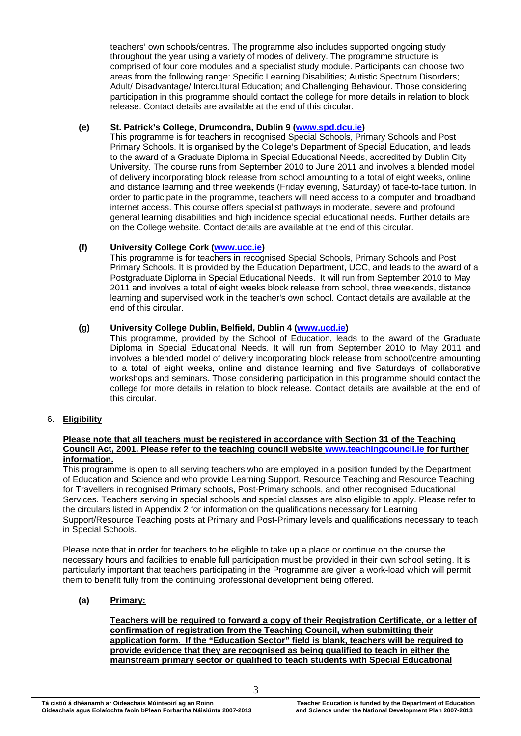teachers' own schools/centres. The programme also includes supported ongoing study throughout the year using a variety of modes of delivery. The programme structure is comprised of four core modules and a specialist study module. Participants can choose two areas from the following range: Specific Learning Disabilities; Autistic Spectrum Disorders; Adult/ Disadvantage/ Intercultural Education; and Challenging Behaviour. Those considering participation in this programme should contact the college for more details in relation to block release. Contact details are available at the end of this circular.

### **(e) St. Patrick's College, Drumcondra, Dublin 9 [\(www.spd.dcu.ie\)](http://www.spd.dcu.ie/)**

This programme is for teachers in recognised Special Schools, Primary Schools and Post Primary Schools. It is organised by the College's Department of Special Education, and leads to the award of a Graduate Diploma in Special Educational Needs, accredited by Dublin City University. The course runs from September 2010 to June 2011 and involves a blended model of delivery incorporating block release from school amounting to a total of eight weeks, online and distance learning and three weekends (Friday evening, Saturday) of face-to-face tuition. In order to participate in the programme, teachers will need access to a computer and broadband internet access. This course offers specialist pathways in moderate, severe and profound general learning disabilities and high incidence special educational needs. Further details are on the College website. Contact details are available at the end of this circular.

### **(f) University College Cork [\(www.ucc.ie\)](http://www.ucc.ie/)**

This programme is for teachers in recognised Special Schools, Primary Schools and Post Primary Schools. It is provided by the Education Department, UCC, and leads to the award of a Postgraduate Diploma in Special Educational Needs. It will run from September 2010 to May 2011 and involves a total of eight weeks block release from school, three weekends, distance learning and supervised work in the teacher's own school. Contact details are available at the end of this circular.

### **(g) University College Dublin, Belfield, Dublin 4 [\(www.ucd.ie\)](http://www.ucd.ie/)**

This programme, provided by the School of Education, leads to the award of the Graduate Diploma in Special Educational Needs. It will run from September 2010 to May 2011 and involves a blended model of delivery incorporating block release from school/centre amounting to a total of eight weeks, online and distance learning and five Saturdays of collaborative workshops and seminars. Those considering participation in this programme should contact the college for more details in relation to block release. Contact details are available at the end of this circular.

### 6. **Eligibility**

#### **Please note that all teachers must be registered in accordance with Section 31 of the Teaching Council Act, 2001. Please refer to the teaching council website [www.teachingcouncil.ie](http://www.teachingcouncil.ie/) for further information.**

This programme is open to all serving teachers who are employed in a position funded by the Department of Education and Science and who provide Learning Support, Resource Teaching and Resource Teaching for Travellers in recognised Primary schools, Post-Primary schools, and other recognised Educational Services. Teachers serving in special schools and special classes are also eligible to apply. Please refer to the circulars listed in Appendix 2 for information on the qualifications necessary for Learning Support/Resource Teaching posts at Primary and Post-Primary levels and qualifications necessary to teach in Special Schools.

Please note that in order for teachers to be eligible to take up a place or continue on the course the necessary hours and facilities to enable full participation must be provided in their own school setting. It is particularly important that teachers participating in the Programme are given a work-load which will permit them to benefit fully from the continuing professional development being offered.

### **(a) Primary:**

**Teachers will be required to forward a copy of their Registration Certificate, or a letter of confirmation of registration from the Teaching Council, when submitting their application form. If the "Education Sector" field is blank, teachers will be required to provide evidence that they are recognised as being qualified to teach in either the mainstream primary sector or qualified to teach students with Special Educational**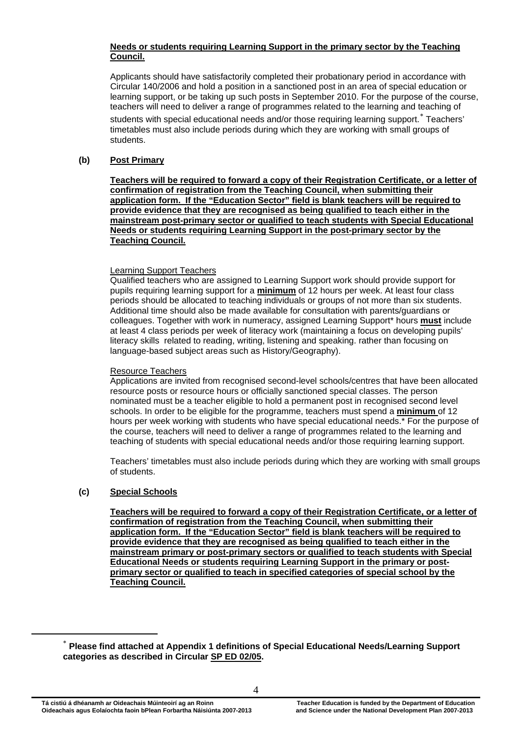#### **Needs or students requiring Learning Support in the primary sector by the Teaching Council.**

Applicants should have satisfactorily completed their probationary period in accordance with Circular 140/2006 and hold a position in a sanctioned post in an area of special education or learning support, or be taking up such posts in September 2010. For the purpose of the course, teachers will need to deliver a range of programmes related to the learning and teaching of students with special educational needs and/or those requiring learning support.<sup>\*</sup> Teachers' timetables must also include periods during which they are working with small groups of students.

### **(b) Post Primary**

**Teachers will be required to forward a copy of their Registration Certificate, or a letter of confirmation of registration from the Teaching Council, when submitting their application form. If the "Education Sector" field is blank teachers will be required to provide evidence that they are recognised as being qualified to teach either in the mainstream post-primary sector or qualified to teach students with Special Educational Needs or students requiring Learning Support in the post-primary sector by the Teaching Council.**

### Learning Support Teachers

Qualified teachers who are assigned to Learning Support work should provide support for pupils requiring learning support for a **minimum** of 12 hours per week. At least four class periods should be allocated to teaching individuals or groups of not more than six students. Additional time should also be made available for consultation with parents/guardians or colleagues. Together with work in numeracy, assigned Learning Support\* hours **must** include at least 4 class periods per week of literacy work (maintaining a focus on developing pupils' literacy skills related to reading, writing, listening and speaking. rather than focusing on language-based subject areas such as History/Geography).

#### **Resource Teachers**

Applications are invited from recognised second-level schools/centres that have been allocated resource posts or resource hours or officially sanctioned special classes. The person nominated must be a teacher eligible to hold a permanent post in recognised second level schools. In order to be eligible for the programme, teachers must spend a **minimum** of 12 hours per week working with students who have special educational needs.\* For the purpose of the course, teachers will need to deliver a range of programmes related to the learning and teaching of students with special educational needs and/or those requiring learning support.

Teachers' timetables must also include periods during which they are working with small groups of students.

### **(c) Special Schools**

**Teachers will be required to forward a copy of their Registration Certificate, or a letter of confirmation of registration from the Teaching Council, when submitting their application form. If the "Education Sector" field is blank teachers will be required to provide evidence that they are recognised as being qualified to teach either in the mainstream primary or post-primary sectors or qualified to teach students with Special Educational Needs or students requiring Learning Support in the primary or postprimary sector or qualified to teach in specified categories of special school by the Teaching Council.**

<span id="page-3-0"></span><sup>∗</sup> **Please find attached at Appendix 1 definitions of Special Educational Needs/Learning Support categories as described in Circular SP ED 02/05.**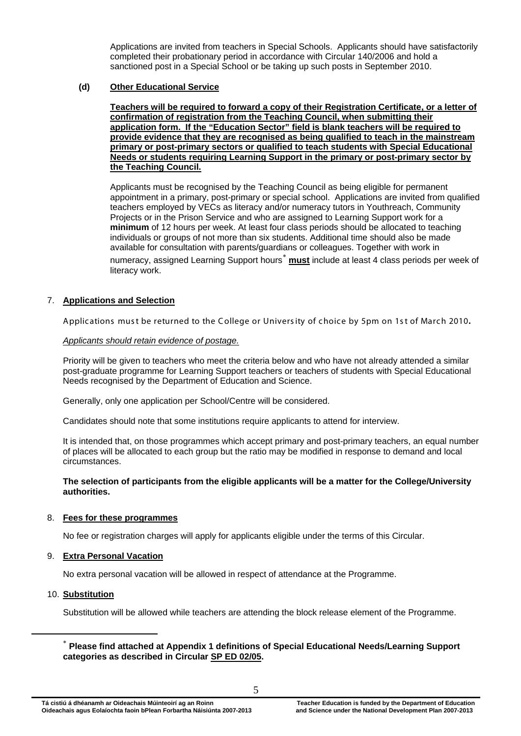Applications are invited from teachers in Special Schools. Applicants should have satisfactorily completed their probationary period in accordance with Circular 140/2006 and hold a sanctioned post in a Special School or be taking up such posts in September 2010.

### **(d) Other Educational Service**

**Teachers will be required to forward a copy of their Registration Certificate, or a letter of confirmation of registration from the Teaching Council, when submitting their application form. If the "Education Sector" field is blank teachers will be required to provide evidence that they are recognised as being qualified to teach in the mainstream primary or post-primary sectors or qualified to teach students with Special Educational Needs or students requiring Learning Support in the primary or post-primary sector by the Teaching Council.**

Applicants must be recognised by the Teaching Council as being eligible for permanent appointment in a primary, post-primary or special school. Applications are invited from qualified teachers employed by VECs as literacy and/or numeracy tutors in Youthreach, Community Projects or in the Prison Service and who are assigned to Learning Support work for a **minimum** of 12 hours per week. At least four class periods should be allocated to teaching individuals or groups of not more than six students. Additional time should also be made available for consultation with parents/guardians or colleagues. Together with work in numeracy, assigned Learning Support hours<sup>[∗](#page-4-0)</sup> must include at least 4 class periods per week of literacy work.

### 7. **Applications and Selection**

A pplic ations mus t be returned to the C ollege or Univers ity of c hoic e by 5pm on 1s t of March 2010**.**

### *Applicants should retain evidence of postage.*

Priority will be given to teachers who meet the criteria below and who have not already attended a similar post-graduate programme for Learning Support teachers or teachers of students with Special Educational Needs recognised by the Department of Education and Science.

Generally, only one application per School/Centre will be considered.

Candidates should note that some institutions require applicants to attend for interview.

It is intended that, on those programmes which accept primary and post-primary teachers, an equal number of places will be allocated to each group but the ratio may be modified in response to demand and local circumstances.

#### **The selection of participants from the eligible applicants will be a matter for the College/University authorities.**

### 8. **Fees for these programmes**

No fee or registration charges will apply for applicants eligible under the terms of this Circular.

### 9. **Extra Personal Vacation**

No extra personal vacation will be allowed in respect of attendance at the Programme.

### 10. **Substitution**

Substitution will be allowed while teachers are attending the block release element of the Programme.

### <span id="page-4-0"></span> <sup>∗</sup> **Please find attached at Appendix 1 definitions of Special Educational Needs/Learning Support categories as described in Circular SP ED 02/05.**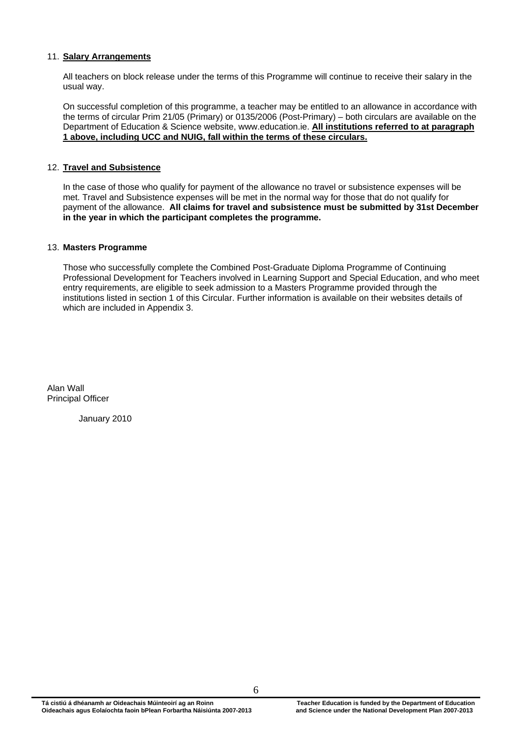### 11. **Salary Arrangements**

All teachers on block release under the terms of this Programme will continue to receive their salary in the usual way.

On successful completion of this programme, a teacher may be entitled to an allowance in accordance with the terms of circular Prim 21/05 (Primary) or 0135/2006 (Post-Primary) – both circulars are available on the Department of Education & Science website, [www.education.ie.](http://www.education.ie/) **All institutions referred to at paragraph 1 above, including UCC and NUIG, fall within the terms of these circulars.**

### 12. **Travel and Subsistence**

In the case of those who qualify for payment of the allowance no travel or subsistence expenses will be met. Travel and Subsistence expenses will be met in the normal way for those that do not qualify for payment of the allowance. **All claims for travel and subsistence must be submitted by 31st December in the year in which the participant completes the programme.**

### 13. **Masters Programme**

Those who successfully complete the Combined Post-Graduate Diploma Programme of Continuing Professional Development for Teachers involved in Learning Support and Special Education, and who meet entry requirements, are eligible to seek admission to a Masters Programme provided through the institutions listed in section 1 of this Circular. Further information is available on their websites details of which are included in Appendix 3.

Alan Wall Principal Officer

January 2010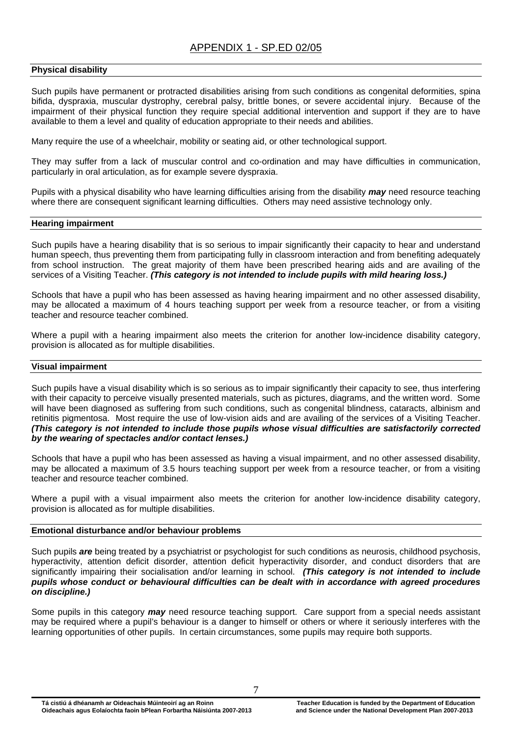## [APPENDIX 1 -](http://www.education.ie/servlet/blobservlet/sp02_05.doc) SP.ED 02/05

#### **Physical disability**

Such pupils have permanent or protracted disabilities arising from such conditions as congenital deformities, spina bifida, dyspraxia, muscular dystrophy, cerebral palsy, brittle bones, or severe accidental injury. Because of the impairment of their physical function they require special additional intervention and support if they are to have available to them a level and quality of education appropriate to their needs and abilities.

Many require the use of a wheelchair, mobility or seating aid, or other technological support.

They may suffer from a lack of muscular control and co-ordination and may have difficulties in communication, particularly in oral articulation, as for example severe dyspraxia.

Pupils with a physical disability who have learning difficulties arising from the disability *may* need resource teaching where there are consequent significant learning difficulties. Others may need assistive technology only.

#### **Hearing impairment**

Such pupils have a hearing disability that is so serious to impair significantly their capacity to hear and understand human speech, thus preventing them from participating fully in classroom interaction and from benefiting adequately from school instruction. The great majority of them have been prescribed hearing aids and are availing of the services of a Visiting Teacher. *(This category is not intended to include pupils with mild hearing loss.)*

Schools that have a pupil who has been assessed as having hearing impairment and no other assessed disability, may be allocated a maximum of 4 hours teaching support per week from a resource teacher, or from a visiting teacher and resource teacher combined.

Where a pupil with a hearing impairment also meets the criterion for another low-incidence disability category, provision is allocated as for multiple disabilities.

#### **Visual impairment**

Such pupils have a visual disability which is so serious as to impair significantly their capacity to see, thus interfering with their capacity to perceive visually presented materials, such as pictures, diagrams, and the written word. Some will have been diagnosed as suffering from such conditions, such as congenital blindness, cataracts, albinism and retinitis pigmentosa. Most require the use of low-vision aids and are availing of the services of a Visiting Teacher. *(This category is not intended to include those pupils whose visual difficulties are satisfactorily corrected by the wearing of spectacles and/or contact lenses.)*

Schools that have a pupil who has been assessed as having a visual impairment, and no other assessed disability, may be allocated a maximum of 3.5 hours teaching support per week from a resource teacher, or from a visiting teacher and resource teacher combined.

Where a pupil with a visual impairment also meets the criterion for another low-incidence disability category, provision is allocated as for multiple disabilities.

#### **Emotional disturbance and/or behaviour problems**

Such pupils *are* being treated by a psychiatrist or psychologist for such conditions as neurosis, childhood psychosis, hyperactivity, attention deficit disorder, attention deficit hyperactivity disorder, and conduct disorders that are significantly impairing their socialisation and/or learning in school. *(This category is not intended to include pupils whose conduct or behavioural difficulties can be dealt with in accordance with agreed procedures on discipline.)*

Some pupils in this category *may* need resource teaching support. Care support from a special needs assistant may be required where a pupil's behaviour is a danger to himself or others or where it seriously interferes with the learning opportunities of other pupils. In certain circumstances, some pupils may require both supports.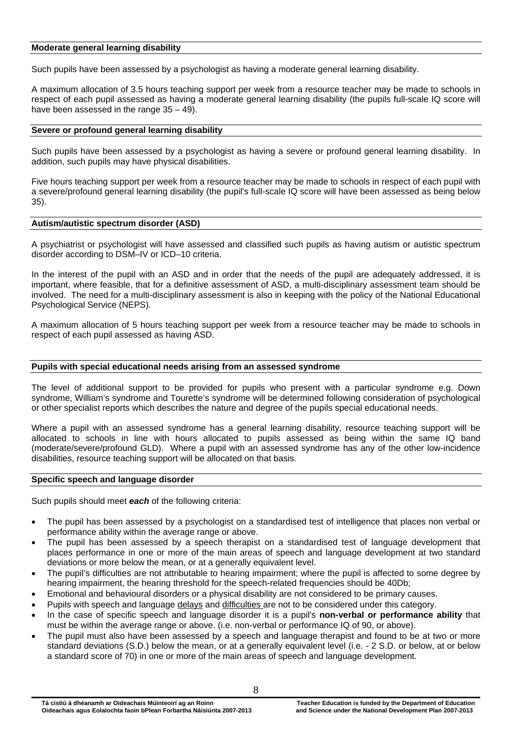#### **Moderate general learning disability**

Such pupils have been assessed by a psychologist as having a moderate general learning disability.

A maximum allocation of 3.5 hours teaching support per week from a resource teacher may be made to schools in respect of each pupil assessed as having a moderate general learning disability (the pupils full-scale IQ score will have been assessed in the range  $35 - 49$ ).

#### **Severe or profound general learning disability**

Such pupils have been assessed by a psychologist as having a severe or profound general learning disability. In addition, such pupils may have physical disabilities.

Five hours teaching support per week from a resource teacher may be made to schools in respect of each pupil with a severe/profound general learning disability (the pupil's full-scale IQ score will have been assessed as being below 35).

#### **Autism/autistic spectrum disorder (ASD)**

A psychiatrist or psychologist will have assessed and classified such pupils as having autism or autistic spectrum disorder according to DSM–IV or ICD–10 criteria.

In the interest of the pupil with an ASD and in order that the needs of the pupil are adequately addressed, it is important, where feasible, that for a definitive assessment of ASD, a multi-disciplinary assessment team should be involved. The need for a multi-disciplinary assessment is also in keeping with the policy of the National Educational Psychological Service (NEPS).

A maximum allocation of 5 hours teaching support per week from a resource teacher may be made to schools in respect of each pupil assessed as having ASD.

#### **Pupils with special educational needs arising from an assessed syndrome**

The level of additional support to be provided for pupils who present with a particular syndrome e.g. Down syndrome, William's syndrome and Tourette's syndrome will be determined following consideration of psychological or other specialist reports which describes the nature and degree of the pupils special educational needs.

Where a pupil with an assessed syndrome has a general learning disability, resource teaching support will be allocated to schools in line with hours allocated to pupils assessed as being within the same IQ band (moderate/severe/profound GLD). Where a pupil with an assessed syndrome has any of the other low-incidence disabilities, resource teaching support will be allocated on that basis.

#### **Specific speech and language disorder**

Such pupils should meet *each* of the following criteria:

- The pupil has been assessed by a psychologist on a standardised test of intelligence that places non verbal or performance ability within the average range or above.
- The pupil has been assessed by a speech therapist on a standardised test of language development that places performance in one or more of the main areas of speech and language development at two standard deviations or more below the mean, or at a generally equivalent level.
- The pupil's difficulties are not attributable to hearing impairment; where the pupil is affected to some degree by hearing impairment, the hearing threshold for the speech-related frequencies should be 40Db;
- Emotional and behavioural disorders or a physical disability are not considered to be primary causes.
- Pupils with speech and language delays and difficulties are not to be considered under this category.
- In the case of specific speech and language disorder it is a pupil's **non-verbal or performance ability** that must be within the average range or above. (i.e. non-verbal or performance IQ of 90, or above).
- The pupil must also have been assessed by a speech and language therapist and found to be at two or more standard deviations (S.D.) below the mean, or at a generally equivalent level (i.e. - 2 S.D. or below, at or below a standard score of 70) in one or more of the main areas of speech and language development.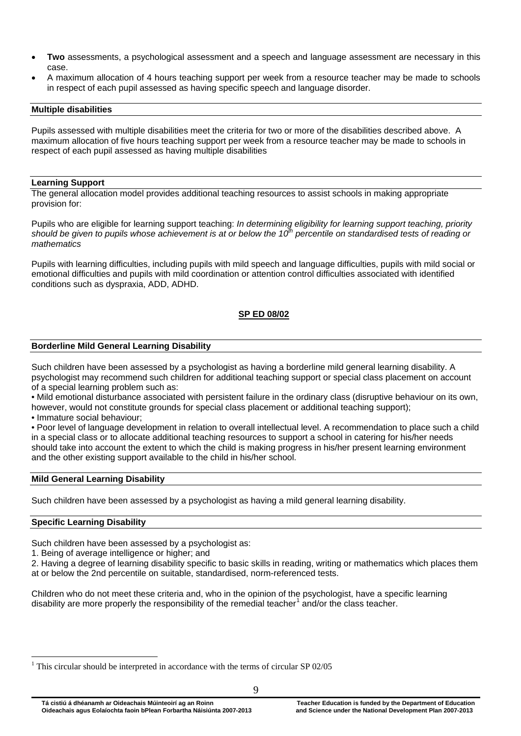- **Two** assessments, a psychological assessment and a speech and language assessment are necessary in this case.
- A maximum allocation of 4 hours teaching support per week from a resource teacher may be made to schools in respect of each pupil assessed as having specific speech and language disorder.

### **Multiple disabilities**

Pupils assessed with multiple disabilities meet the criteria for two or more of the disabilities described above. A maximum allocation of five hours teaching support per week from a resource teacher may be made to schools in respect of each pupil assessed as having multiple disabilities

#### **Learning Support**

The general allocation model provides additional teaching resources to assist schools in making appropriate provision for:

Pupils who are eligible for learning support teaching: *In determining eligibility for learning support teaching, priority should be given to pupils whose achievement is at or below the 10th percentile on standardised tests of reading or mathematics*

Pupils with learning difficulties, including pupils with mild speech and language difficulties, pupils with mild social or emotional difficulties and pupils with mild coordination or attention control difficulties associated with identified conditions such as dyspraxia, ADD, ADHD.

### **[SP ED 08/02](http://www.education.ie/servlet/blobservlet/spedc08_02.pdf)**

#### **Borderline Mild General Learning Disability**

Such children have been assessed by a psychologist as having a borderline mild general learning disability. A psychologist may recommend such children for additional teaching support or special class placement on account of a special learning problem such as:

• Mild emotional disturbance associated with persistent failure in the ordinary class (disruptive behaviour on its own, however, would not constitute grounds for special class placement or additional teaching support);

• Immature social behaviour;

• Poor level of language development in relation to overall intellectual level. A recommendation to place such a child in a special class or to allocate additional teaching resources to support a school in catering for his/her needs should take into account the extent to which the child is making progress in his/her present learning environment and the other existing support available to the child in his/her school.

### **Mild General Learning Disability**

Such children have been assessed by a psychologist as having a mild general learning disability.

### **Specific Learning Disability**

Such children have been assessed by a psychologist as:

1. Being of average intelligence or higher; and

2. Having a degree of learning disability specific to basic skills in reading, writing or mathematics which places them at or below the 2nd percentile on suitable, standardised, norm-referenced tests.

Children who do not meet these criteria and, who in the opinion of the psychologist, have a specific learning disability are more properly the responsibility of the remedial teacher $<sup>1</sup>$  $<sup>1</sup>$  $<sup>1</sup>$  and/or the class teacher.</sup>

<span id="page-8-0"></span> <sup>1</sup> This circular should be interpreted in accordance with the terms of circular SP 02/05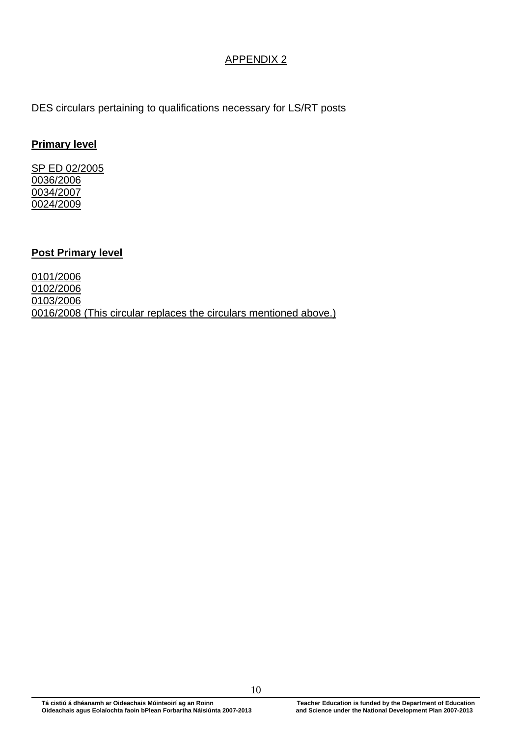### APPENDIX 2

DES circulars pertaining to qualifications necessary for LS/RT posts

## **Primary level**

SP ED 02/2005 0036/2006 0034/2007 0024/2009

## **Post Primary level**

0101/2006 0102/2006 0103/2006 0016/2008 (This circular replaces the circulars mentioned above.)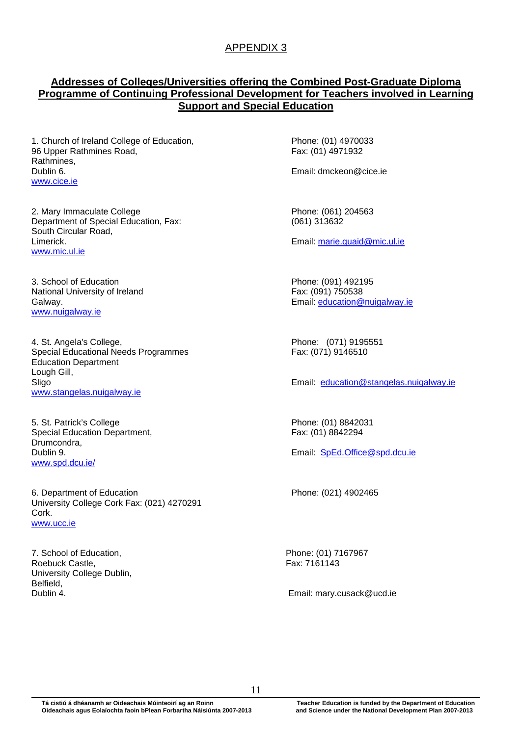## APPENDIX 3

## **Addresses of Colleges/Universities offering the Combined Post-Graduate Diploma Programme of Continuing Professional Development for Teachers involved in Learning Support and Special Education**

1. Church of Ireland College of Education, The Church of Ireland College of Education, Phone: (01) 4970033<br>96 Upper Rathmines Road, Phone: (01) 4971932 96 Upper Rathmines Road, Rathmines, Dublin 6. Email: dmckeon@cice.ie [www.cice.ie](http://www.education.ie/servlet/blobservlet/www.cice.ie)

2. Mary Immaculate College **Phone: (061)** 204563 Department of Special Education, Fax: (061) 313632 South Circular Road,<br>Limerick. [www.mic.ul.ie](http://www.mic.ul.ie/)

3. School of Education **Phone: (091) 492195** National University of Ireland Fax: (091) 750538<br>Galway. Fax: (091) 750538 [www.nuigalway.ie](http://www.nuigalway.ie/)

4. St. Angela's College, Phone: (071) 9195551 Special Educational Needs Programmes Fax: (071) 9146510 Education Department Lough Gill, [www.stangelas.nuigalway.ie](http://www.stangelas.nuigalway.ie/)

5. St. Patrick's College **Phone: (01) 8842031** Special Education Department, The Control of Fax: (01) 8842294 Drumcondra,<br>Dublin 9. [www.spd.dcu.ie/](http://www.spd.dcu.ie/)

6. Department of Education Phone: (021) 4902465 University College Cork Fax: (021) 4270291 Cork. [www.ucc.ie](http://www.ucc.ie/)

7. School of Education, The Contract of Education, Phone: (01) 7167967<br>Roebuck Castle. Phone: The Phone: 7161143 Roebuck Castle, University College Dublin, Belfield,

Email: marie.quaid@mic.ul.ie

Email: [education@nuigalway.ie](mailto:education@nuigalway.ie)

Sligo Email: [education@stangelas.nuigalway.ie](mailto:education@stangelas..ie)

Email: [SpEd.Office@spd.dcu.ie](mailto:SpEd.Office@spd.dcu.ie)

Dublin 4. Email: mary.cusack@ucd.ie

11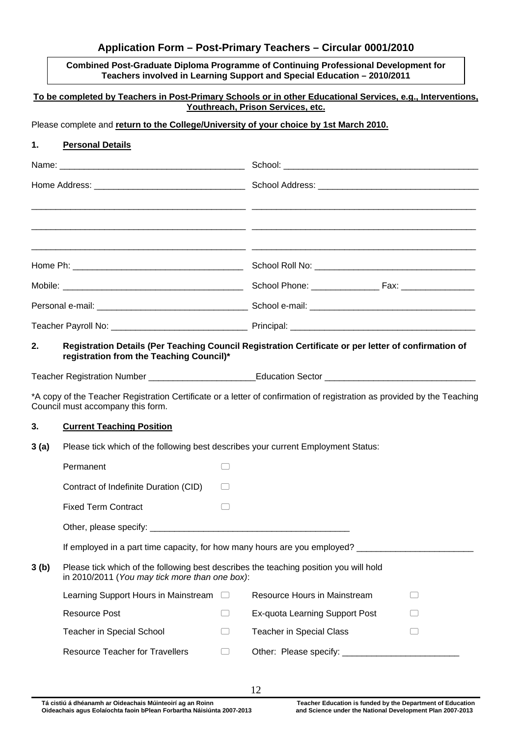# **Application Form – Post-Primary Teachers – Circular 0001/2010**

**Combined Post-Graduate Diploma Programme of Continuing Professional Development for Teachers involved in Learning Support and Special Education – 2010/2011**

### **To be completed by Teachers in Post-Primary Schools or in other Educational Services, e.g., Interventions, Youthreach, Prison Services, etc.**

Please complete and **return to the College/University of your choice by 1st March 2010.**

#### **1. Personal Details**

| 2.    | Registration Details (Per Teaching Council Registration Certificate or per letter of confirmation of<br>registration from the Teaching Council)*             |  |                                 |  |  |
|-------|--------------------------------------------------------------------------------------------------------------------------------------------------------------|--|---------------------------------|--|--|
|       | Teacher Registration Number ________________________Education Sector _______________________________                                                         |  |                                 |  |  |
|       | *A copy of the Teacher Registration Certificate or a letter of confirmation of registration as provided by the Teaching<br>Council must accompany this form. |  |                                 |  |  |
| 3.    | <b>Current Teaching Position</b>                                                                                                                             |  |                                 |  |  |
| 3(a)  | Please tick which of the following best describes your current Employment Status:                                                                            |  |                                 |  |  |
|       | Permanent                                                                                                                                                    |  |                                 |  |  |
|       | Contract of Indefinite Duration (CID)                                                                                                                        |  |                                 |  |  |
|       | <b>Fixed Term Contract</b>                                                                                                                                   |  |                                 |  |  |
|       |                                                                                                                                                              |  |                                 |  |  |
|       | If employed in a part time capacity, for how many hours are you employed? __________________                                                                 |  |                                 |  |  |
| 3 (b) | Please tick which of the following best describes the teaching position you will hold<br>in 2010/2011 (You may tick more than one box):                      |  |                                 |  |  |
|       | Learning Support Hours in Mainstream                                                                                                                         |  | Resource Hours in Mainstream    |  |  |
|       | <b>Resource Post</b>                                                                                                                                         |  | Ex-quota Learning Support Post  |  |  |
|       | <b>Teacher in Special School</b>                                                                                                                             |  | <b>Teacher in Special Class</b> |  |  |
|       | <b>Resource Teacher for Travellers</b>                                                                                                                       |  | Other: Please specify:          |  |  |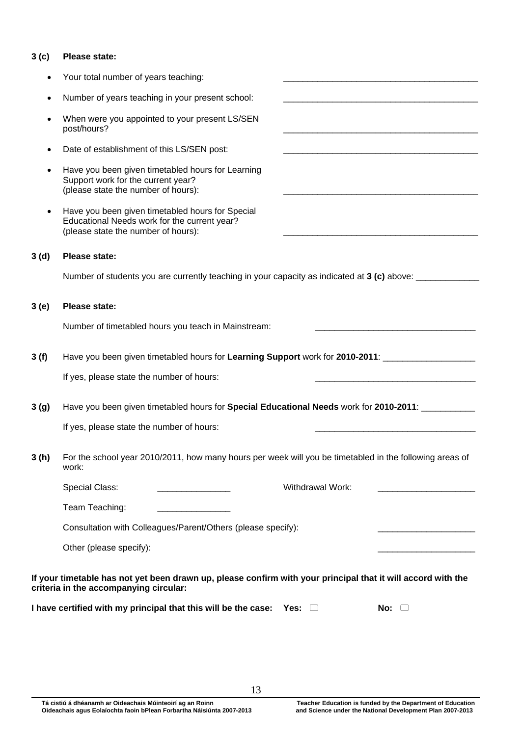### **3 (c) Please state:**

|       | Your total number of years teaching:                                                                                                                   |
|-------|--------------------------------------------------------------------------------------------------------------------------------------------------------|
|       | Number of years teaching in your present school:                                                                                                       |
|       | When were you appointed to your present LS/SEN<br>post/hours?                                                                                          |
|       | Date of establishment of this LS/SEN post:                                                                                                             |
|       | Have you been given timetabled hours for Learning<br>Support work for the current year?<br>(please state the number of hours):                         |
|       | Have you been given timetabled hours for Special<br>Educational Needs work for the current year?<br>(please state the number of hours):                |
| 3 (d) | Please state:                                                                                                                                          |
|       | Number of students you are currently teaching in your capacity as indicated at 3 (c) above:                                                            |
| 3 (e) | Please state:                                                                                                                                          |
|       | Number of timetabled hours you teach in Mainstream:                                                                                                    |
| 3 (f) | Have you been given timetabled hours for Learning Support work for 2010-2011: ____________________                                                     |
|       | If yes, please state the number of hours:                                                                                                              |
| 3 (g) | Have you been given timetabled hours for Special Educational Needs work for 2010-2011:                                                                 |
|       | If yes, please state the number of hours:                                                                                                              |
| 3 (h) | For the school year 2010/2011, how many hours per week will you be timetabled in the following areas of<br>work:                                       |
|       | Withdrawal Work:<br>Special Class:                                                                                                                     |
|       | Team Teaching:                                                                                                                                         |
|       | Consultation with Colleagues/Parent/Others (please specify):                                                                                           |
|       | Other (please specify):                                                                                                                                |
|       | If your timetable has not yet been drawn up, please confirm with your principal that it will accord with the<br>criteria in the accompanying circular: |
|       | I have certified with my principal that this will be the case: Yes: $\quad \Box$<br>No: $\Box$                                                         |
|       |                                                                                                                                                        |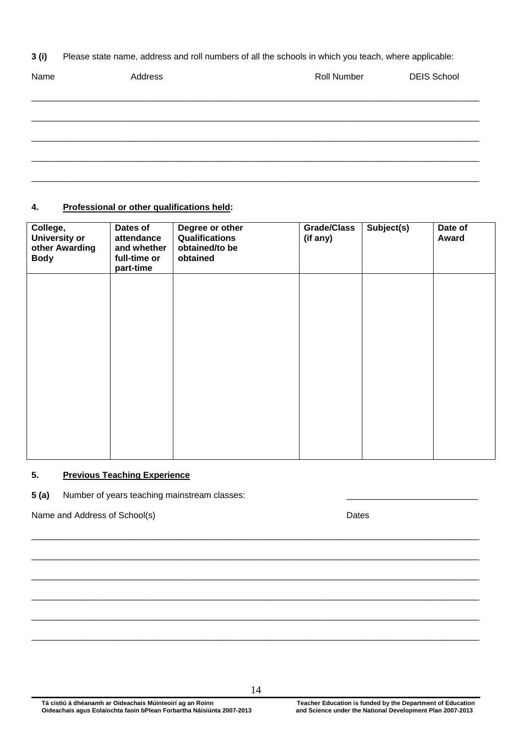**3 (i)** Please state name, address and roll numbers of all the schools in which you teach, where applicable:

| Name | Address | Roll Number | <b>DEIS School</b> |
|------|---------|-------------|--------------------|
|      |         |             |                    |
|      |         |             |                    |
|      |         |             |                    |
|      |         |             |                    |
|      |         |             |                    |

### **4. Professional or other qualifications held:**

| College,<br><b>University or</b><br>other Awarding<br><b>Body</b> | Dates of<br>attendance<br>and whether<br>full-time or<br>part-time | Degree or other<br>Qualifications<br>obtained/to be<br>obtained | <b>Grade/Class</b><br>(if any) | Subject(s) | Date of<br>Award |
|-------------------------------------------------------------------|--------------------------------------------------------------------|-----------------------------------------------------------------|--------------------------------|------------|------------------|
|                                                                   |                                                                    |                                                                 |                                |            |                  |
|                                                                   |                                                                    |                                                                 |                                |            |                  |
|                                                                   |                                                                    |                                                                 |                                |            |                  |
|                                                                   |                                                                    |                                                                 |                                |            |                  |

### **5. Previous Teaching Experience**

**5** (a) Number of years teaching mainstream classes:

Name and Address of School(s) Dates

14

 $\_$  ,  $\_$  ,  $\_$  ,  $\_$  ,  $\_$  ,  $\_$  ,  $\_$  ,  $\_$  ,  $\_$  ,  $\_$  ,  $\_$  ,  $\_$  ,  $\_$  ,  $\_$  ,  $\_$  ,  $\_$  ,  $\_$  ,  $\_$  ,  $\_$  ,  $\_$  ,  $\_$  ,  $\_$  ,  $\_$  ,  $\_$  ,  $\_$  ,  $\_$  ,  $\_$  ,  $\_$  ,  $\_$  ,  $\_$  ,  $\_$  ,  $\_$  ,  $\_$  ,  $\_$  ,  $\_$  ,  $\_$  ,  $\_$  ,

 $\_$  ,  $\_$  ,  $\_$  ,  $\_$  ,  $\_$  ,  $\_$  ,  $\_$  ,  $\_$  ,  $\_$  ,  $\_$  ,  $\_$  ,  $\_$  ,  $\_$  ,  $\_$  ,  $\_$  ,  $\_$  ,  $\_$  ,  $\_$  ,  $\_$  ,  $\_$  ,  $\_$  ,  $\_$  ,  $\_$  ,  $\_$  ,  $\_$  ,  $\_$  ,  $\_$  ,  $\_$  ,  $\_$  ,  $\_$  ,  $\_$  ,  $\_$  ,  $\_$  ,  $\_$  ,  $\_$  ,  $\_$  ,  $\_$  ,

 $\_$  ,  $\_$  ,  $\_$  ,  $\_$  ,  $\_$  ,  $\_$  ,  $\_$  ,  $\_$  ,  $\_$  ,  $\_$  ,  $\_$  ,  $\_$  ,  $\_$  ,  $\_$  ,  $\_$  ,  $\_$  ,  $\_$  ,  $\_$  ,  $\_$  ,  $\_$  ,  $\_$  ,  $\_$  ,  $\_$  ,  $\_$  ,  $\_$  ,  $\_$  ,  $\_$  ,  $\_$  ,  $\_$  ,  $\_$  ,  $\_$  ,  $\_$  ,  $\_$  ,  $\_$  ,  $\_$  ,  $\_$  ,  $\_$  ,

 $\_$  ,  $\_$  ,  $\_$  ,  $\_$  ,  $\_$  ,  $\_$  ,  $\_$  ,  $\_$  ,  $\_$  ,  $\_$  ,  $\_$  ,  $\_$  ,  $\_$  ,  $\_$  ,  $\_$  ,  $\_$  ,  $\_$  ,  $\_$  ,  $\_$  ,  $\_$  ,  $\_$  ,  $\_$  ,  $\_$  ,  $\_$  ,  $\_$  ,  $\_$  ,  $\_$  ,  $\_$  ,  $\_$  ,  $\_$  ,  $\_$  ,  $\_$  ,  $\_$  ,  $\_$  ,  $\_$  ,  $\_$  ,  $\_$  ,

 $\_$  ,  $\_$  ,  $\_$  ,  $\_$  ,  $\_$  ,  $\_$  ,  $\_$  ,  $\_$  ,  $\_$  ,  $\_$  ,  $\_$  ,  $\_$  ,  $\_$  ,  $\_$  ,  $\_$  ,  $\_$  ,  $\_$  ,  $\_$  ,  $\_$  ,  $\_$  ,  $\_$  ,  $\_$  ,  $\_$  ,  $\_$  ,  $\_$  ,  $\_$  ,  $\_$  ,  $\_$  ,  $\_$  ,  $\_$  ,  $\_$  ,  $\_$  ,  $\_$  ,  $\_$  ,  $\_$  ,  $\_$  ,  $\_$  ,

 $\_$  ,  $\_$  ,  $\_$  ,  $\_$  ,  $\_$  ,  $\_$  ,  $\_$  ,  $\_$  ,  $\_$  ,  $\_$  ,  $\_$  ,  $\_$  ,  $\_$  ,  $\_$  ,  $\_$  ,  $\_$  ,  $\_$  ,  $\_$  ,  $\_$  ,  $\_$  ,  $\_$  ,  $\_$  ,  $\_$  ,  $\_$  ,  $\_$  ,  $\_$  ,  $\_$  ,  $\_$  ,  $\_$  ,  $\_$  ,  $\_$  ,  $\_$  ,  $\_$  ,  $\_$  ,  $\_$  ,  $\_$  ,  $\_$  ,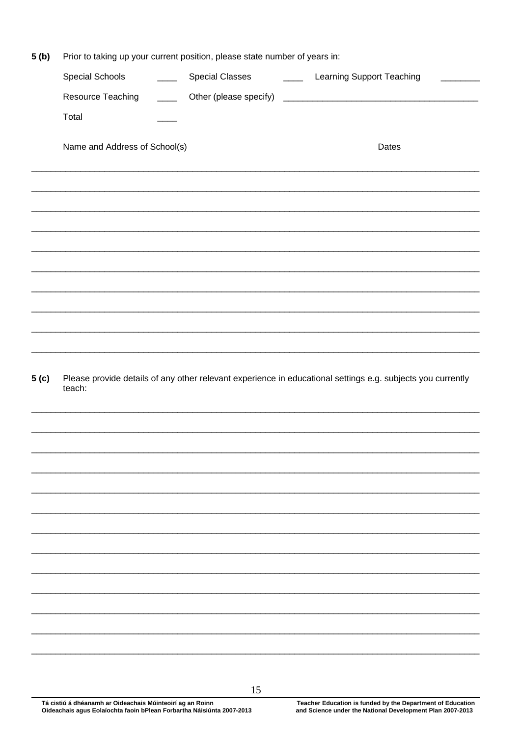| 5 <sub>(b)</sub> | Prior to taking up your current position, please state number of years in:                                          |                                         |                                                                                                             |  |  |  |
|------------------|---------------------------------------------------------------------------------------------------------------------|-----------------------------------------|-------------------------------------------------------------------------------------------------------------|--|--|--|
|                  | Special Schools                                                                                                     | <b>Special Classes</b><br>$\sim$ $\sim$ | <b>Learning Support Teaching</b>                                                                            |  |  |  |
|                  | Resource Teaching<br>$\frac{1}{\sqrt{1-\frac{1}{2}}\left(1-\frac{1}{2}\right)}\left(\frac{1}{2}-\frac{1}{2}\right)$ | Other (please specify)                  |                                                                                                             |  |  |  |
|                  | Total                                                                                                               |                                         |                                                                                                             |  |  |  |
|                  | Name and Address of School(s)                                                                                       |                                         | Dates                                                                                                       |  |  |  |
|                  |                                                                                                                     |                                         |                                                                                                             |  |  |  |
|                  |                                                                                                                     |                                         |                                                                                                             |  |  |  |
|                  |                                                                                                                     |                                         |                                                                                                             |  |  |  |
|                  |                                                                                                                     |                                         |                                                                                                             |  |  |  |
|                  |                                                                                                                     |                                         |                                                                                                             |  |  |  |
|                  |                                                                                                                     |                                         |                                                                                                             |  |  |  |
|                  |                                                                                                                     |                                         |                                                                                                             |  |  |  |
| 5( c)            | teach:                                                                                                              |                                         | Please provide details of any other relevant experience in educational settings e.g. subjects you currently |  |  |  |
|                  |                                                                                                                     |                                         |                                                                                                             |  |  |  |
|                  |                                                                                                                     |                                         |                                                                                                             |  |  |  |
|                  |                                                                                                                     |                                         |                                                                                                             |  |  |  |
|                  |                                                                                                                     |                                         |                                                                                                             |  |  |  |
|                  |                                                                                                                     |                                         |                                                                                                             |  |  |  |
|                  |                                                                                                                     |                                         |                                                                                                             |  |  |  |
|                  |                                                                                                                     |                                         |                                                                                                             |  |  |  |
|                  |                                                                                                                     |                                         |                                                                                                             |  |  |  |
|                  |                                                                                                                     |                                         |                                                                                                             |  |  |  |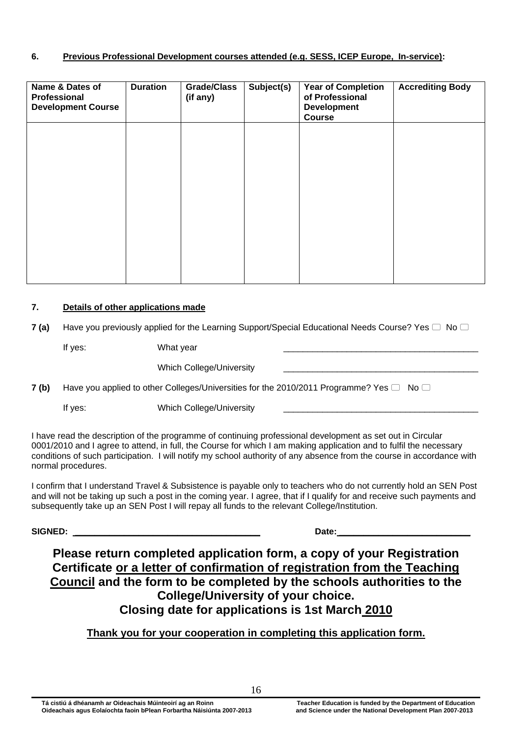### **6. Previous Professional Development courses attended (e.g. SESS, ICEP Europe, In-service):**

| Name & Dates of<br>Professional<br><b>Development Course</b> | <b>Duration</b> | <b>Grade/Class</b><br>(if any) | Subject(s) | <b>Year of Completion</b><br>of Professional<br><b>Development</b><br>Course | <b>Accrediting Body</b> |
|--------------------------------------------------------------|-----------------|--------------------------------|------------|------------------------------------------------------------------------------|-------------------------|
|                                                              |                 |                                |            |                                                                              |                         |
|                                                              |                 |                                |            |                                                                              |                         |
|                                                              |                 |                                |            |                                                                              |                         |
|                                                              |                 |                                |            |                                                                              |                         |
|                                                              |                 |                                |            |                                                                              |                         |

### **7. Details of other applications made**

|  | 7 (a) Have you previously applied for the Learning Support/Special Educational Needs Course? Yes $\Box$ No $\Box$ |  |  |  |  |  |
|--|-------------------------------------------------------------------------------------------------------------------|--|--|--|--|--|
|--|-------------------------------------------------------------------------------------------------------------------|--|--|--|--|--|

| If yes<br>$  -$ | w<br>VE<br>___ |  |
|-----------------|----------------|--|
|                 |                |  |

Which College/University

**7 (b)** Have you applied to other Colleges/Universities for the 2010/2011 Programme? Yes  $\Box$  No  $\Box$ 

If yes: Which College/University

I have read the description of the programme of continuing professional development as set out in Circular 0001/2010 and I agree to attend, in full, the Course for which I am making application and to fulfil the necessary conditions of such participation. I will notify my school authority of any absence from the course in accordance with normal procedures.

I confirm that I understand Travel & Subsistence is payable only to teachers who do not currently hold an SEN Post and will not be taking up such a post in the coming year. I agree, that if I qualify for and receive such payments and subsequently take up an SEN Post I will repay all funds to the relevant College/Institution.

## **SIGNED: \_\_\_\_\_\_\_\_\_\_\_\_\_\_\_\_\_\_\_\_\_\_\_\_\_\_\_\_\_\_\_\_\_\_\_\_\_\_ Date: \_\_\_\_\_\_\_\_\_\_\_\_\_\_\_\_\_\_\_\_\_\_\_\_\_\_\_**

**Please return completed application form, a copy of your Registration Certificate or a letter of confirmation of registration from the Teaching Council and the form to be completed by the schools authorities to the College/University of your choice. Closing date for applications is 1st March 2010**

## **Thank you for your cooperation in completing this application form.**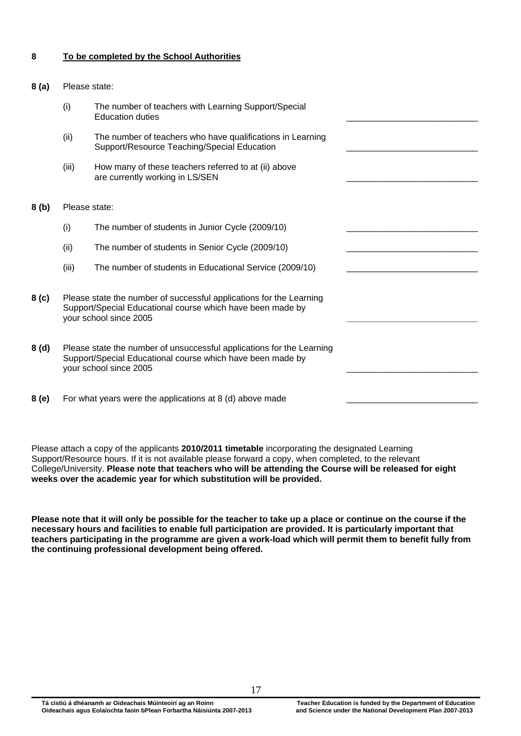### **8 To be completed by the School Authorities**

**8 (a)** Please state:

|                  | (i)                                                                                                                                                           | The number of teachers with Learning Support/Special<br><b>Education duties</b>                           |  |  |
|------------------|---------------------------------------------------------------------------------------------------------------------------------------------------------------|-----------------------------------------------------------------------------------------------------------|--|--|
|                  | (ii)                                                                                                                                                          | The number of teachers who have qualifications in Learning<br>Support/Resource Teaching/Special Education |  |  |
|                  | (iii)                                                                                                                                                         | How many of these teachers referred to at (ii) above<br>are currently working in LS/SEN                   |  |  |
| 8(b)             | Please state:                                                                                                                                                 |                                                                                                           |  |  |
|                  | (i)                                                                                                                                                           | The number of students in Junior Cycle (2009/10)                                                          |  |  |
|                  | (ii)                                                                                                                                                          | The number of students in Senior Cycle (2009/10)                                                          |  |  |
|                  | (iii)                                                                                                                                                         | The number of students in Educational Service (2009/10)                                                   |  |  |
| 8 <sub>(c)</sub> | Please state the number of successful applications for the Learning<br>Support/Special Educational course which have been made by<br>your school since 2005   |                                                                                                           |  |  |
| 8 (d)            | Please state the number of unsuccessful applications for the Learning<br>Support/Special Educational course which have been made by<br>your school since 2005 |                                                                                                           |  |  |
| 8 (e)            | For what years were the applications at 8 (d) above made                                                                                                      |                                                                                                           |  |  |

Please attach a copy of the applicants **2010/2011 timetable** incorporating the designated Learning Support/Resource hours. If it is not available please forward a copy, when completed, to the relevant College/University. **Please note that teachers who will be attending the Course will be released for eight weeks over the academic year for which substitution will be provided.**

**Please note that it will only be possible for the teacher to take up a place or continue on the course if the necessary hours and facilities to enable full participation are provided. It is particularly important that teachers participating in the programme are given a work-load which will permit them to benefit fully from the continuing professional development being offered.**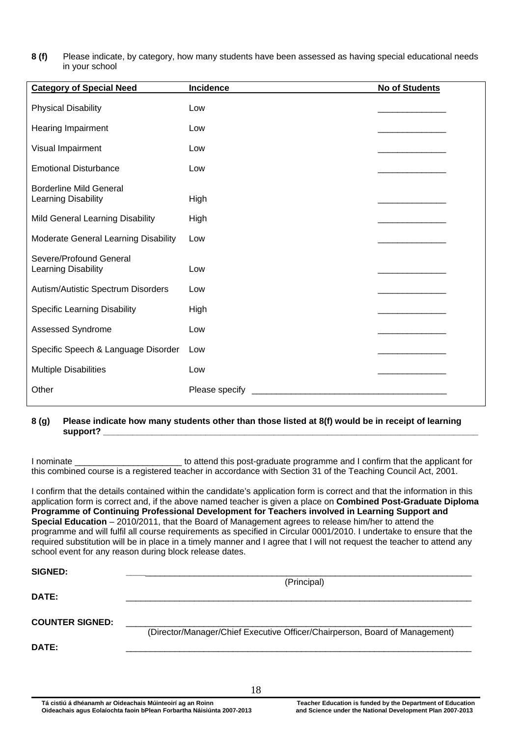**8 (f)** Please indicate, by category, how many students have been assessed as having special educational needs in your school

| <b>Category of Special Need</b>                       | <b>Incidence</b> | No of Students |
|-------------------------------------------------------|------------------|----------------|
| <b>Physical Disability</b>                            | Low              |                |
| Hearing Impairment                                    | Low              |                |
| Visual Impairment                                     | Low              |                |
| <b>Emotional Disturbance</b>                          | Low              |                |
| <b>Borderline Mild General</b><br>Learning Disability | High             |                |
| Mild General Learning Disability                      | High             |                |
| Moderate General Learning Disability                  | Low              |                |
| Severe/Profound General<br>Learning Disability        | Low              |                |
| Autism/Autistic Spectrum Disorders                    | Low              |                |
| <b>Specific Learning Disability</b>                   | High             |                |
| Assessed Syndrome                                     | Low              |                |
| Specific Speech & Language Disorder                   | Low              |                |
| <b>Multiple Disabilities</b>                          | Low              |                |
| Other                                                 | Please specify   |                |

#### **8 (g) Please indicate how many students other than those listed at 8(f) would be in receipt of learning support? \_\_\_\_\_\_\_\_\_\_\_\_\_\_\_\_\_\_\_\_\_\_\_\_\_\_\_\_\_\_\_\_\_\_\_\_\_\_\_\_\_\_\_\_\_\_\_\_\_\_\_\_\_\_\_\_\_\_\_\_\_\_\_\_\_\_\_\_\_\_\_\_\_\_\_\_\_**

I nominate **I** nominate **Example 20** to attend this post-graduate programme and I confirm that the applicant for this combined course is a registered teacher in accordance with Section 31 of the Teaching Council Act, 2001.

I confirm that the details contained within the candidate's application form is correct and that the information in this application form is correct and, if the above named teacher is given a place on **Combined Post-Graduate Diploma Programme of Continuing Professional Development for Teachers involved in Learning Support and Special Education** – 2010/2011, that the Board of Management agrees to release him/her to attend the programme and will fulfil all course requirements as specified in Circular 0001/2010. I undertake to ensure that the required substitution will be in place in a timely manner and I agree that I will not request the teacher to attend any school event for any reason during block release dates.

| <b>SIGNED:</b>         |                                                                             |
|------------------------|-----------------------------------------------------------------------------|
|                        | (Principal)                                                                 |
| DATE:                  |                                                                             |
| <b>COUNTER SIGNED:</b> |                                                                             |
|                        | (Director/Manager/Chief Executive Officer/Chairperson, Board of Management) |
| DATE:                  |                                                                             |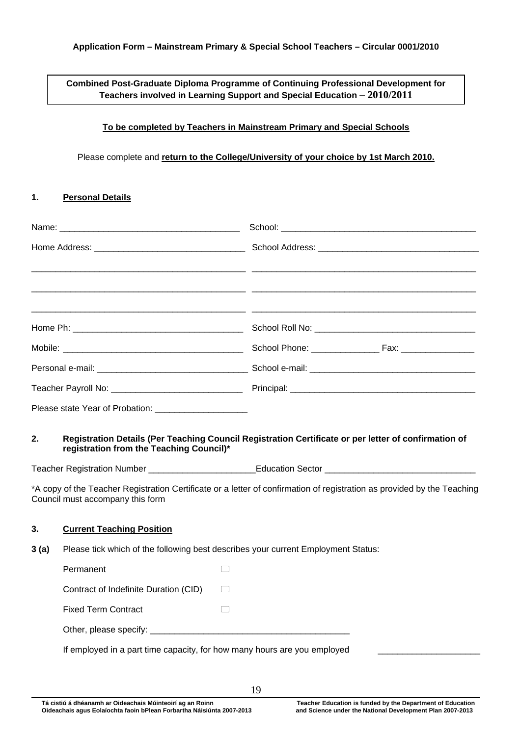### **Combined Post-Graduate Diploma Programme of Continuing Professional Development for Teachers involved in Learning Support and Special Education – 2010/2011**

### **To be completed by Teachers in Mainstream Primary and Special Schools**

### Please complete and **return to the College/University of your choice by 1st March 2010.**

### **1. Personal Details**

|      | Please state Year of Probation: ______________________                       |                                                                                                                                                                                                                                                                                                                                                           |
|------|------------------------------------------------------------------------------|-----------------------------------------------------------------------------------------------------------------------------------------------------------------------------------------------------------------------------------------------------------------------------------------------------------------------------------------------------------|
| 2.   | registration from the Teaching Council)*<br>Council must accompany this form | Registration Details (Per Teaching Council Registration Certificate or per letter of confirmation of<br>Teacher Registration Number <b>Education Sector Container Property</b> Container Property Container Property Container<br>*A copy of the Teacher Registration Certificate or a letter of confirmation of registration as provided by the Teaching |
| 3.   | <b>Current Teaching Position</b>                                             |                                                                                                                                                                                                                                                                                                                                                           |
| 3(a) |                                                                              | Please tick which of the following best describes your current Employment Status:                                                                                                                                                                                                                                                                         |
|      | Permanent                                                                    |                                                                                                                                                                                                                                                                                                                                                           |
|      | Contract of Indefinite Duration (CID)                                        |                                                                                                                                                                                                                                                                                                                                                           |
|      | <b>Fixed Term Contract</b>                                                   | $\begin{pmatrix} 1 \\ 1 \end{pmatrix}$                                                                                                                                                                                                                                                                                                                    |
|      |                                                                              |                                                                                                                                                                                                                                                                                                                                                           |
|      | If employed in a part time capacity, for how many hours are you employed     |                                                                                                                                                                                                                                                                                                                                                           |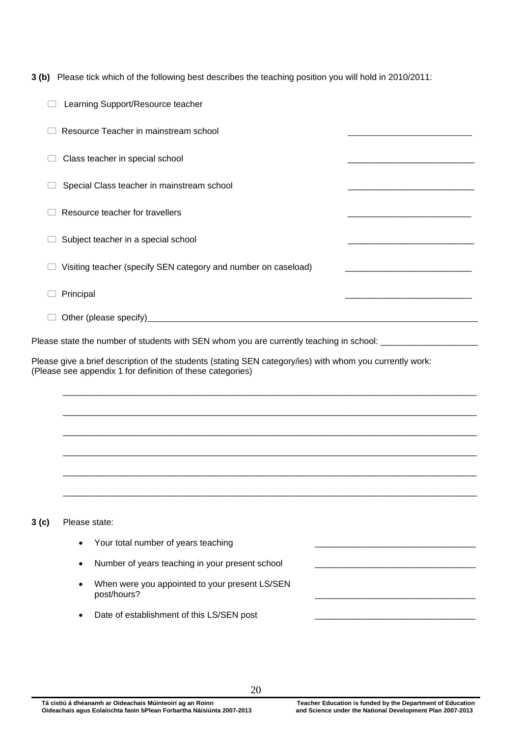**3 (b)** Please tick which of the following best describes the teaching position you will hold in 2010/2011:

|                  | Learning Support/Resource teacher                                                                                                                                                                                              |  |
|------------------|--------------------------------------------------------------------------------------------------------------------------------------------------------------------------------------------------------------------------------|--|
|                  | Resource Teacher in mainstream school                                                                                                                                                                                          |  |
|                  | Class teacher in special school                                                                                                                                                                                                |  |
|                  | Special Class teacher in mainstream school                                                                                                                                                                                     |  |
|                  | Resource teacher for travellers                                                                                                                                                                                                |  |
|                  | Subject teacher in a special school                                                                                                                                                                                            |  |
|                  | Visiting teacher (specify SEN category and number on caseload)                                                                                                                                                                 |  |
|                  | Principal                                                                                                                                                                                                                      |  |
|                  | Other (please specify) example and the state of the state of the state of the state of the state of the state of the state of the state of the state of the state of the state of the state of the state of the state of the s |  |
|                  | Please give a brief description of the students (stating SEN category/ies) with whom you currently work:<br>(Please see appendix 1 for definition of these categories)                                                         |  |
|                  |                                                                                                                                                                                                                                |  |
|                  |                                                                                                                                                                                                                                |  |
| 3 <sub>(c)</sub> | Please state:                                                                                                                                                                                                                  |  |
|                  | Your total number of years teaching                                                                                                                                                                                            |  |
|                  | Number of years teaching in your present school<br>٠                                                                                                                                                                           |  |
|                  | When were you appointed to your present LS/SEN<br>post/hours?                                                                                                                                                                  |  |
|                  |                                                                                                                                                                                                                                |  |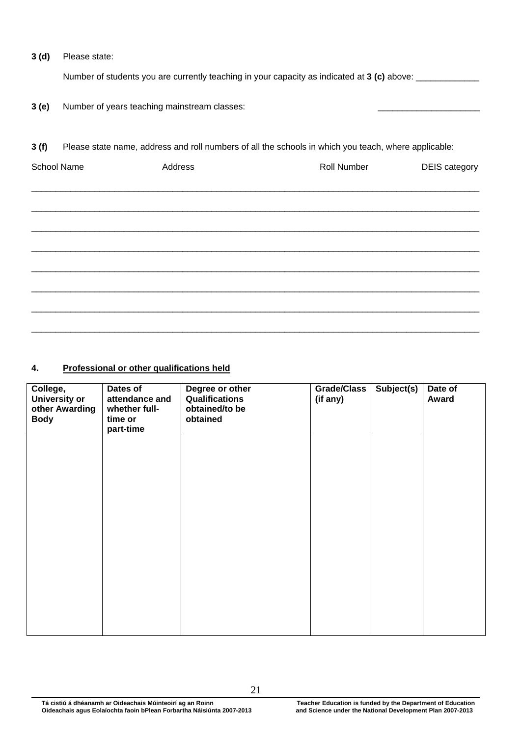#### **3 (d)** Please state:

Number of students you are currently teaching in your capacity as indicated at 3 (c) above:

3 (e) Number of years teaching mainstream classes:

### **3 (f)** Please state name, address and roll numbers of all the schools in which you teach, where applicable:

| <b>School Name</b> | Address | Roll Number | DEIS category |
|--------------------|---------|-------------|---------------|
|                    |         |             |               |
|                    |         |             |               |
|                    |         |             |               |
|                    |         |             |               |
|                    |         |             |               |
|                    |         |             |               |
|                    |         |             |               |

### **4. Professional or other qualifications held**

| College,<br><b>University or</b><br>other Awarding<br><b>Body</b> | Dates of<br>attendance and<br>whether full-<br>time or<br>part-time | Degree or other<br>Qualifications<br>obtained/to be<br>obtained | Grade/Class<br>(if any) | Subject(s) | Date of<br>Award |
|-------------------------------------------------------------------|---------------------------------------------------------------------|-----------------------------------------------------------------|-------------------------|------------|------------------|
|                                                                   |                                                                     |                                                                 |                         |            |                  |
|                                                                   |                                                                     |                                                                 |                         |            |                  |
|                                                                   |                                                                     |                                                                 |                         |            |                  |
|                                                                   |                                                                     |                                                                 |                         |            |                  |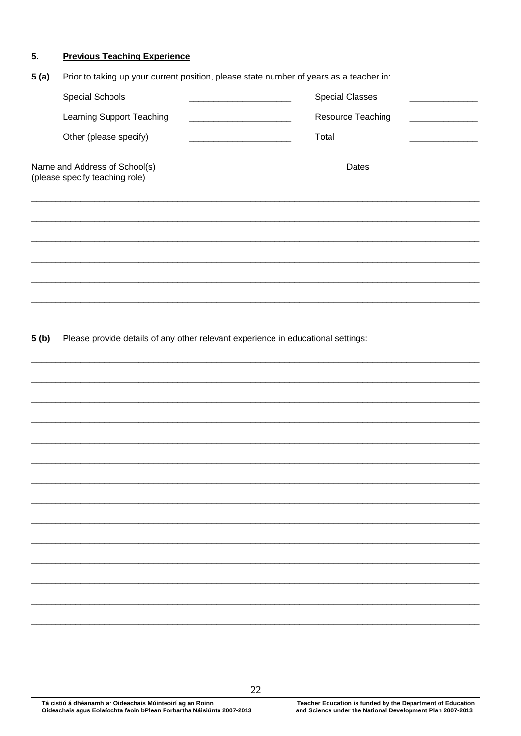#### 5. **Previous Teaching Experience**

| 5(a) | <b>Special Schools</b>                                                         | <b>Special Classes</b>   |
|------|--------------------------------------------------------------------------------|--------------------------|
|      | <b>Learning Support Teaching</b>                                               | <b>Resource Teaching</b> |
|      | Other (please specify)<br><u> 1989 - Johann Stein, Amerikaansk politiker (</u> | Total                    |
|      | Name and Address of School(s)<br>(please specify teaching role)                | Dates                    |
|      |                                                                                |                          |
|      |                                                                                |                          |
|      |                                                                                |                          |
|      |                                                                                |                          |
|      |                                                                                |                          |
|      |                                                                                |                          |

 $5(b)$ Please provide details of any other relevant experience in educational settings: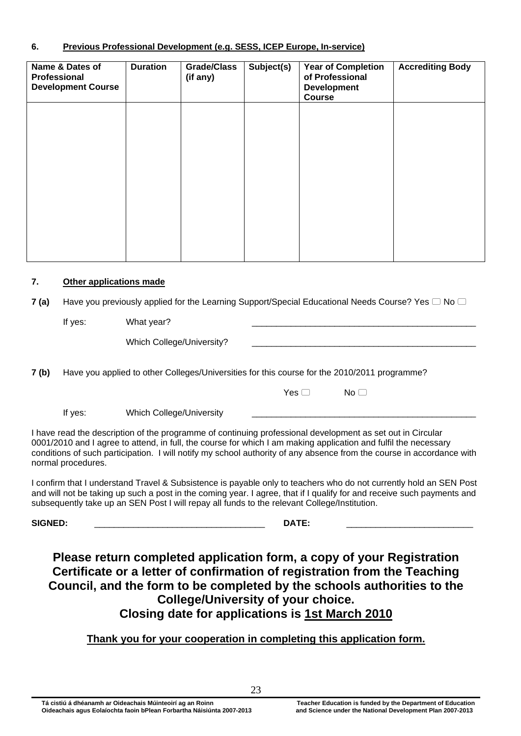### **6. Previous Professional Development (e.g. SESS, ICEP Europe, In-service)**

| Name & Dates of<br>Professional<br><b>Development Course</b> | <b>Duration</b> | <b>Grade/Class</b><br>(if any) | Subject(s) | <b>Year of Completion</b><br>of Professional<br><b>Development</b><br><b>Course</b> | <b>Accrediting Body</b> |
|--------------------------------------------------------------|-----------------|--------------------------------|------------|-------------------------------------------------------------------------------------|-------------------------|
|                                                              |                 |                                |            |                                                                                     |                         |
|                                                              |                 |                                |            |                                                                                     |                         |
|                                                              |                 |                                |            |                                                                                     |                         |
|                                                              |                 |                                |            |                                                                                     |                         |

### **7. Other applications made**

**7 (a)** Have you previously applied for the Learning Support/Special Educational Needs Course? Yes  $\Box$  No  $\Box$ 

If yes: What year? \_\_\_\_\_\_\_\_\_\_\_\_\_\_\_\_\_\_\_\_\_\_\_\_\_\_\_\_\_\_\_\_\_\_\_\_\_\_\_\_\_\_\_\_\_\_

Which College/University?

**7 (b)** Have you applied to other Colleges/Universities for this course for the 2010/2011 programme?

 $Yes \Box$  No  $\Box$ 

If yes: Which College/University

I have read the description of the programme of continuing professional development as set out in Circular 0001/2010 and I agree to attend, in full, the course for which I am making application and fulfil the necessary conditions of such participation. I will notify my school authority of any absence from the course in accordance with normal procedures.

I confirm that I understand Travel & Subsistence is payable only to teachers who do not currently hold an SEN Post and will not be taking up such a post in the coming year. I agree, that if I qualify for and receive such payments and subsequently take up an SEN Post I will repay all funds to the relevant College/Institution.

**SIGNED:** \_\_\_\_\_\_\_\_\_\_\_\_\_\_\_\_\_\_\_\_\_\_\_\_\_\_\_\_\_\_\_\_\_\_\_ **DATE:** \_\_\_\_\_\_\_\_\_\_\_\_\_\_\_\_\_\_\_\_\_\_\_\_\_\_

**Please return completed application form, a copy of your Registration Certificate or a letter of confirmation of registration from the Teaching Council, and the form to be completed by the schools authorities to the College/University of your choice. Closing date for applications is 1st March 2010**

**Thank you for your cooperation in completing this application form.**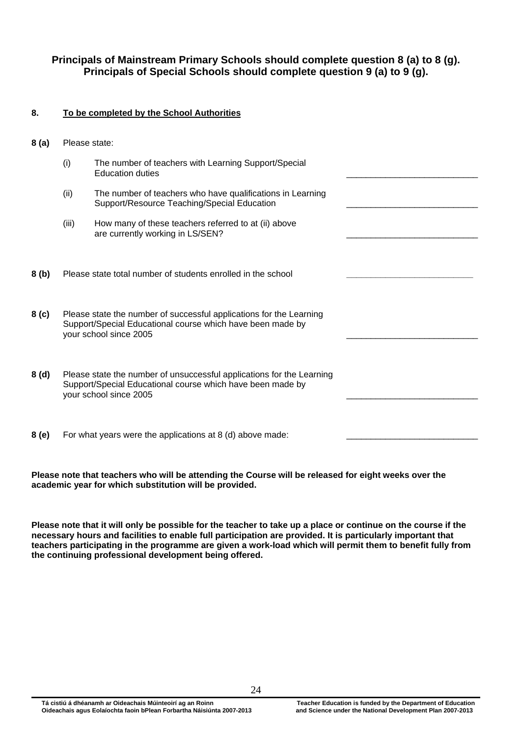## **Principals of Mainstream Primary Schools should complete question 8 (a) to 8 (g). Principals of Special Schools should complete question 9 (a) to 9 (g).**

### **8. To be completed by the School Authorities**

- **8 (a)** Please state:
	- (i) The number of teachers with Learning Support/Special Education duties
	- (ii) The number of teachers who have qualifications in Learning Support/Resource Teaching/Special Education
	- (iii) How many of these teachers referred to at (ii) above are currently working in LS/SEN?
- **8 (b)** Please state total number of students enrolled in the school
- **8 (c)** Please state the number of successful applications for the Learning Support/Special Educational course which have been made by your school since 2005 \_\_\_\_\_\_\_\_\_\_\_\_\_\_\_\_\_\_\_\_\_\_\_\_\_\_\_
- **8 (d)** Please state the number of unsuccessful applications for the Learning Support/Special Educational course which have been made by your school since 2005 \_\_\_\_\_\_\_\_\_\_\_\_\_\_\_\_\_\_\_\_\_\_\_\_\_\_\_
- **8 (e)** For what years were the applications at 8 (d) above made:

**Please note that teachers who will be attending the Course will be released for eight weeks over the academic year for which substitution will be provided.**

**Please note that it will only be possible for the teacher to take up a place or continue on the course if the necessary hours and facilities to enable full participation are provided. It is particularly important that teachers participating in the programme are given a work-load which will permit them to benefit fully from the continuing professional development being offered.**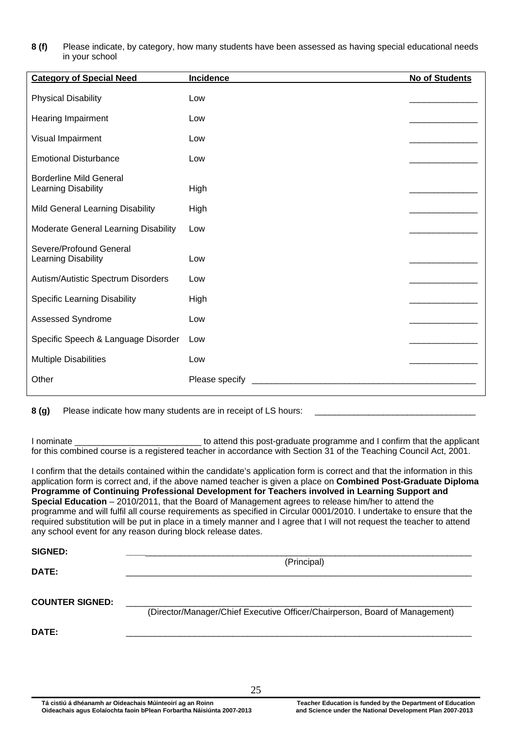#### **8 (f)** Please indicate, by category, how many students have been assessed as having special educational needs in your school

| <b>Category of Special Need</b>                       | Incidence      | No of Students |
|-------------------------------------------------------|----------------|----------------|
| <b>Physical Disability</b>                            | Low            |                |
| Hearing Impairment                                    | Low            |                |
| Visual Impairment                                     | Low            |                |
| <b>Emotional Disturbance</b>                          | Low            |                |
| <b>Borderline Mild General</b><br>Learning Disability | High           |                |
| Mild General Learning Disability                      | High           |                |
| Moderate General Learning Disability                  | Low            |                |
| Severe/Profound General<br>Learning Disability        | Low            |                |
| Autism/Autistic Spectrum Disorders                    | Low            |                |
| <b>Specific Learning Disability</b>                   | High           |                |
| Assessed Syndrome                                     | Low            |                |
| Specific Speech & Language Disorder                   | Low            |                |
| <b>Multiple Disabilities</b>                          | Low            |                |
| Other                                                 | Please specify |                |
|                                                       |                |                |

**8 (g)** Please indicate how many students are in receipt of LS hours:

I nominate **I** nominate **Example 2** to attend this post-graduate programme and I confirm that the applicant for this combined course is a registered teacher in accordance with Section 31 of the Teaching Council Act, 2001.

I confirm that the details contained within the candidate's application form is correct and that the information in this application form is correct and, if the above named teacher is given a place on **Combined Post-Graduate Diploma Programme of Continuing Professional Development for Teachers involved in Learning Support and Special Education** – 2010/2011, that the Board of Management agrees to release him/her to attend the programme and will fulfil all course requirements as specified in Circular 0001/2010. I undertake to ensure that the required substitution will be put in place in a timely manner and I agree that I will not request the teacher to attend any school event for any reason during block release dates.

| <b>SIGNED:</b>         |                                                                             |
|------------------------|-----------------------------------------------------------------------------|
| DATE:                  | (Principal)                                                                 |
| <b>COUNTER SIGNED:</b> | (Director/Manager/Chief Executive Officer/Chairperson, Board of Management) |
| DATE:                  |                                                                             |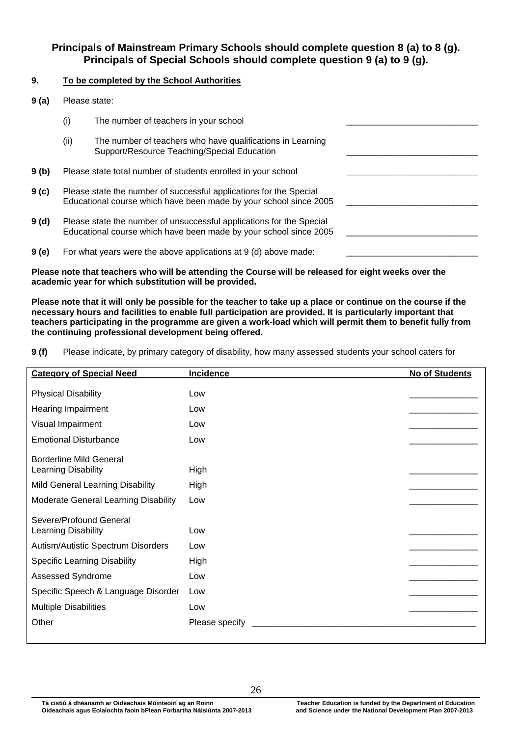## **Principals of Mainstream Primary Schools should complete question 8 (a) to 8 (g). Principals of Special Schools should complete question 9 (a) to 9 (g).**

### **9. To be completed by the School Authorities**

**9 (a)** Please state:

|       | (i)                                                                                                                                       | The number of teachers in your school                                                                     |  |
|-------|-------------------------------------------------------------------------------------------------------------------------------------------|-----------------------------------------------------------------------------------------------------------|--|
|       | (ii)                                                                                                                                      | The number of teachers who have qualifications in Learning<br>Support/Resource Teaching/Special Education |  |
| 9 (b) | Please state total number of students enrolled in your school                                                                             |                                                                                                           |  |
| 9 (c) | Please state the number of successful applications for the Special<br>Educational course which have been made by your school since 2005   |                                                                                                           |  |
| 9 (d) | Please state the number of unsuccessful applications for the Special<br>Educational course which have been made by your school since 2005 |                                                                                                           |  |
| 9 (e) | For what years were the above applications at 9 (d) above made:                                                                           |                                                                                                           |  |
|       |                                                                                                                                           |                                                                                                           |  |

**Please note that teachers who will be attending the Course will be released for eight weeks over the academic year for which substitution will be provided.**

**Please note that it will only be possible for the teacher to take up a place or continue on the course if the necessary hours and facilities to enable full participation are provided. It is particularly important that teachers participating in the programme are given a work-load which will permit them to benefit fully from the continuing professional development being offered.**

**9 (f)** Please indicate, by primary category of disability, how many assessed students your school caters for

| <b>Category of Special Need</b>                | <b>Incidence</b> | No of Students |
|------------------------------------------------|------------------|----------------|
| <b>Physical Disability</b>                     | Low              |                |
| Hearing Impairment                             | Low              |                |
| Visual Impairment                              | Low              |                |
| <b>Emotional Disturbance</b>                   | Low              |                |
| Borderline Mild General<br>Learning Disability | High             |                |
| Mild General Learning Disability               | High             |                |
| Moderate General Learning Disability           | Low              |                |
| Severe/Profound General<br>Learning Disability | Low              |                |
| Autism/Autistic Spectrum Disorders             | Low              |                |
| <b>Specific Learning Disability</b>            | High             |                |
| Assessed Syndrome                              | Low              |                |
| Specific Speech & Language Disorder            | Low              |                |
| <b>Multiple Disabilities</b>                   | Low              |                |
| Other                                          | Please specify   |                |
|                                                |                  |                |